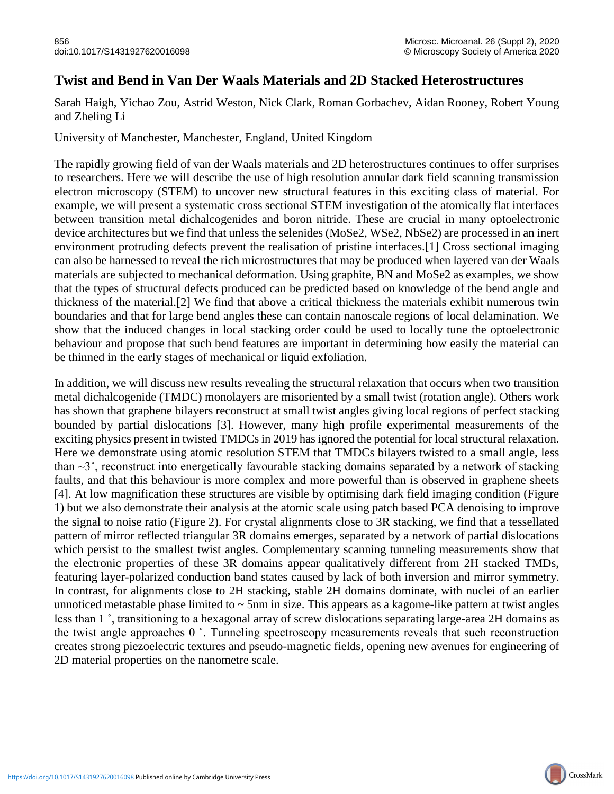## **Twist and Bend in Van Der Waals Materials and 2D Stacked Heterostructures**

Sarah Haigh, Yichao Zou, Astrid Weston, Nick Clark, Roman Gorbachev, Aidan Rooney, Robert Young and Zheling Li

University of Manchester, Manchester, England, United Kingdom

The rapidly growing field of van der Waals materials and 2D heterostructures continues to offer surprises to researchers. Here we will describe the use of high resolution annular dark field scanning transmission electron microscopy (STEM) to uncover new structural features in this exciting class of material. For example, we will present a systematic cross sectional STEM investigation of the atomically flat interfaces between transition metal dichalcogenides and boron nitride. These are crucial in many optoelectronic device architectures but we find that unless the selenides (MoSe2, WSe2, NbSe2) are processed in an inert environment protruding defects prevent the realisation of pristine interfaces.[1] Cross sectional imaging can also be harnessed to reveal the rich microstructures that may be produced when layered van der Waals materials are subjected to mechanical deformation. Using graphite, BN and MoSe2 as examples, we show that the types of structural defects produced can be predicted based on knowledge of the bend angle and thickness of the material.[2] We find that above a critical thickness the materials exhibit numerous twin boundaries and that for large bend angles these can contain nanoscale regions of local delamination. We show that the induced changes in local stacking order could be used to locally tune the optoelectronic behaviour and propose that such bend features are important in determining how easily the material can be thinned in the early stages of mechanical or liquid exfoliation.

In addition, we will discuss new results revealing the structural relaxation that occurs when two transition metal dichalcogenide (TMDC) monolayers are misoriented by a small twist (rotation angle). Others work has shown that graphene bilayers reconstruct at small twist angles giving local regions of perfect stacking bounded by partial dislocations [3]. However, many high profile experimental measurements of the exciting physics present in twisted TMDCs in 2019 has ignored the potential for local structural relaxation. Here we demonstrate using atomic resolution STEM that TMDCs bilayers twisted to a small angle, less than  $\sim$ 3°, reconstruct into energetically favourable stacking domains separated by a network of stacking faults, and that this behaviour is more complex and more powerful than is observed in graphene sheets [4]. At low magnification these structures are visible by optimising dark field imaging condition (Figure 1) but we also demonstrate their analysis at the atomic scale using patch based PCA denoising to improve the signal to noise ratio (Figure 2). For crystal alignments close to 3R stacking, we find that a tessellated pattern of mirror reflected triangular 3R domains emerges, separated by a network of partial dislocations which persist to the smallest twist angles. Complementary scanning tunneling measurements show that the electronic properties of these 3R domains appear qualitatively different from 2H stacked TMDs, featuring layer-polarized conduction band states caused by lack of both inversion and mirror symmetry. In contrast, for alignments close to 2H stacking, stable 2H domains dominate, with nuclei of an earlier unnoticed metastable phase limited to  $\sim$  5nm in size. This appears as a kagome-like pattern at twist angles less than 1 ˚, transitioning to a hexagonal array of screw dislocations separating large-area 2H domains as the twist angle approaches 0 ˚. Tunneling spectroscopy measurements reveals that such reconstruction creates strong piezoelectric textures and pseudo-magnetic fields, opening new avenues for engineering of 2D material properties on the nanometre scale.

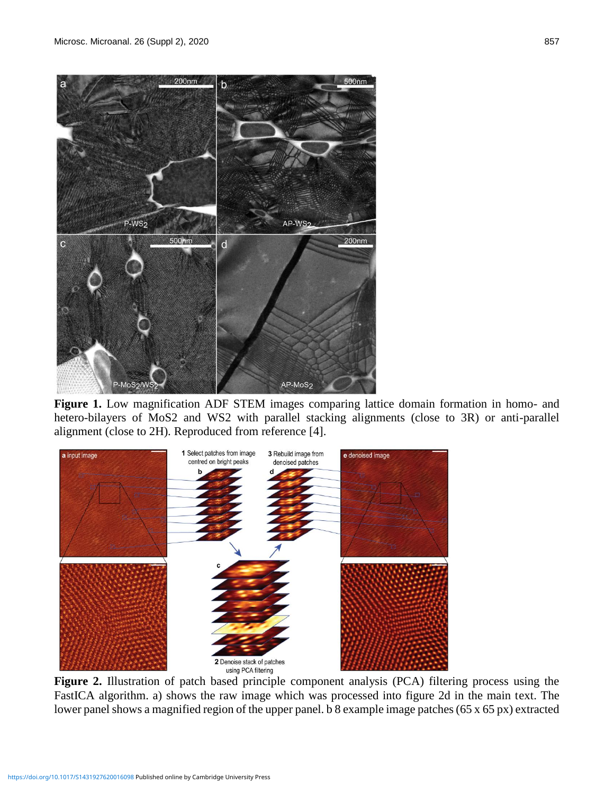

Figure 1. Low magnification ADF STEM images comparing lattice domain formation in homo- and hetero-bilayers of MoS2 and WS2 with parallel stacking alignments (close to 3R) or anti-parallel alignment (close to 2H). Reproduced from reference [4].



**Figure 2.** Illustration of patch based principle component analysis (PCA) filtering process using the FastICA algorithm. a) shows the raw image which was processed into figure 2d in the main text. The lower panel shows a magnified region of the upper panel. b 8 example image patches (65 x 65 px) extracted